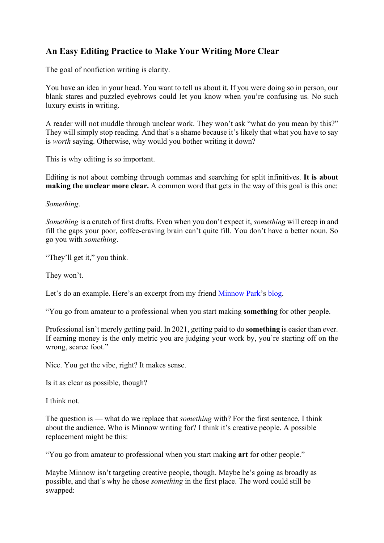## **An Easy Editing Practice to Make Your Writing More Clear**

The goal of nonfiction writing is clarity.

You have an idea in your head. You want to tell us about it. If you were doing so in person, our blank stares and puzzled eyebrows could let you know when you're confusing us. No such luxury exists in writing.

A reader will not muddle through unclear work. They won't ask "what do you mean by this?" They will simply stop reading. And that's a shame because it's likely that what you have to say is *worth* saying. Otherwise, why would you bother writing it down?

This is why editing is so important.

Editing is not about combing through commas and searching for split infinitives. **It is about making the unclear more clear.** A common word that gets in the way of this goal is this one:

*Something*.

*Something* is a crutch of first drafts. Even when you don't expect it, *something* will creep in and fill the gaps your poor, coffee-craving brain can't quite fill. You don't have a better noun. So go you with *something*.

"They'll get it," you think.

They won't.

Let's do an example. Here's an excerpt from my friend [Minnow Park'](https://medium.com/u/5a7aa7a5bb05?source=post_page-----8a452c63776c--------------------------------)s [blog.](https://www.minnowlikethefish.com/2021/01/9/amateurs-and-professionals)

"You go from amateur to a professional when you start making **something** for other people.

Professional isn't merely getting paid. In 2021, getting paid to do **something** is easier than ever. If earning money is the only metric you are judging your work by, you're starting off on the wrong, scarce foot."

Nice. You get the vibe, right? It makes sense.

Is it as clear as possible, though?

I think not.

The question is — what do we replace that *something* with? For the first sentence, I think about the audience. Who is Minnow writing for? I think it's creative people. A possible replacement might be this:

"You go from amateur to professional when you start making **art** for other people."

Maybe Minnow isn't targeting creative people, though. Maybe he's going as broadly as possible, and that's why he chose *something* in the first place. The word could still be swapped: